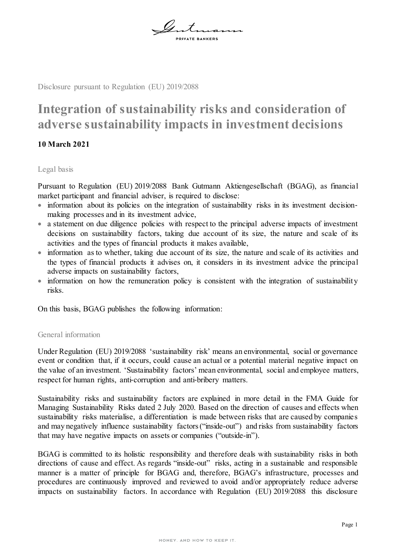

Disclosure pursuant to Regulation (EU) 2019/2088

## **Integration of sustainability risks and consideration of adverse sustainability impacts in investment decisions**

## **10 March 2021**

## Legal basis

Pursuant to Regulation (EU) 2019/2088 Bank Gutmann Aktiengesellschaft (BGAG), as financial market participant and financial adviser, is required to disclose:

- information about its policies on the integration of sustainability risks in its investment decisionmaking processes and in its investment advice,
- a statement on due diligence policies with respect to the principal adverse impacts of investment decisions on sustainability factors, taking due account of its size, the nature and scale of its activities and the types of financial products it makes available,
- information as to whether, taking due account of its size, the nature and scale of its activities and the types of financial products it advises on, it considers in its investment advice the principal adverse impacts on sustainability factors,
- information on how the remuneration policy is consistent with the integration of sustainability risks.

On this basis, BGAG publishes the following information:

## General information

Under Regulation (EU) 2019/2088 'sustainability risk' means an environmental, social or governance event or condition that, if it occurs, could cause an actual or a potential material negative impact on the value of an investment. 'Sustainability factors' mean environmental, social and employee matters, respect for human rights, anti‐corruption and anti‐bribery matters.

Sustainability risks and sustainability factors are explained in more detail in the FMA Guide for Managing Sustainability Risks dated 2 July 2020. Based on the direction of causes and effects when sustainability risks materialise, a differentiation is made between risks that are caused by companies and may negatively influence sustainability factors ("inside-out") and risks from sustainability factors that may have negative impacts on assets or companies ("outside-in").

BGAG is committed to its holistic responsibility and therefore deals with sustainability risks in both directions of cause and effect. As regards "inside-out" risks, acting in a sustainable and responsible manner is a matter of principle for BGAG and, therefore, BGAG's infrastructure, processes and procedures are continuously improved and reviewed to avoid and/or appropriately reduce adverse impacts on sustainability factors. In accordance with Regulation (EU) 2019/2088 this disclosure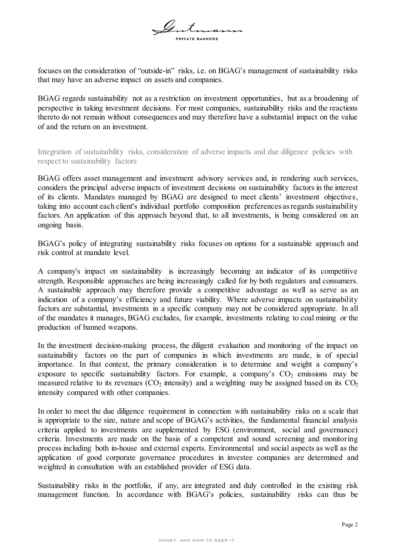$\mathscr{Q}$  t

focuses on the consideration of "outside-in" risks, i.e. on BGAG's management of sustainability risks that may have an adverse impact on assets and companies.

BGAG regards sustainability not as a restriction on investment opportunities, but as a broadening of perspective in taking investment decisions. For most companies, sustainability risks and the reactions thereto do not remain without consequences and may therefore have a substantial impact on the value of and the return on an investment.

Integration of sustainability risks, consideration of adverse impacts and due diligence policies with respect to sustainability factors

BGAG offers asset management and investment advisory services and, in rendering such services, considers the principal adverse impacts of investment decisions on sustainability factors in the interest of its clients. Mandates managed by BGAG are designed to meet clients' investment objectives, taking into account each client's individual portfolio composition preferences as regards sustainability factors. An application of this approach beyond that, to all investments, is being considered on an ongoing basis.

BGAG's policy of integrating sustainability risks focuses on options for a sustainable approach and risk control at mandate level.

A company's impact on sustainability is increasingly becoming an indicator of its competitive strength. Responsible approaches are being increasingly called for by both regulators and consumers. A sustainable approach may therefore provide a competitive advantage as well as serve as an indication of a company's efficiency and future viability. Where adverse impacts on sustainability factors are substantial, investments in a specific company may not be considered appropriate. In all of the mandates it manages, BGAG excludes, for example, investments relating to coal mining or the production of banned weapons.

In the investment decision-making process, the diligent evaluation and monitoring of the impact on sustainability factors on the part of companies in which investments are made, is of special importance. In that context, the primary consideration is to determine and weight a company's exposure to specific sustainability factors. For example, a company's  $CO<sub>2</sub>$  emissions may be measured relative to its revenues ( $CO<sub>2</sub>$  intensity) and a weighting may be assigned based on its  $CO<sub>2</sub>$ intensity compared with other companies.

In order to meet the due diligence requirement in connection with sustainability risks on a scale that is appropriate to the size, nature and scope of BGAG's activities, the fundamental financial analysis criteria applied to investments are supplemented by ESG (environment, social and governance) criteria. Investments are made on the basis of a competent and sound screening and monitoring process including both in-house and external experts. Environmental and social aspects as well as the application of good corporate governance procedures in investee companies are determined and weighted in consultation with an established provider of ESG data.

Sustainability risks in the portfolio, if any, are integrated and duly controlled in the existing risk management function. In accordance with BGAG's policies, sustainability risks can thus be